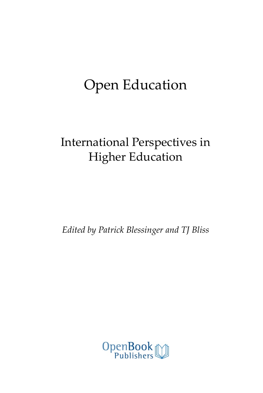# Open Education

# International Perspectives in Higher Education

*Edited by Patrick Blessinger and TJ Bliss*

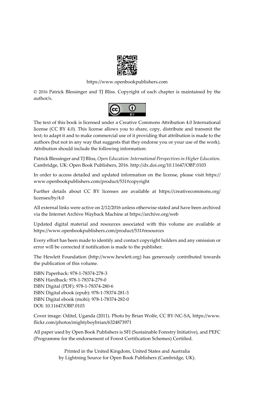

<https://www.openbookpublishers.com>

© 2016 Patrick Blessinger and TJ Bliss. Copyright of each chapter is maintained by the author/s.



The text of this book is licensed under a Creative Commons Attribution 4.0 International license (CC BY 4.0). This license allows you to share, copy, distribute and transmit the text; to adapt it and to make commercial use of it providing that attribution is made to the authors (but not in any way that suggests that they endorse you or your use of the work). Attribution should include the following information:

Patrick Blessinger and TJ Bliss, *Open Education: International Perspectives in Higher Education.* Cambridge, UK: Open Book Publishers, 2016.<http://dx.doi.org/10.11647/OBP.0103>

In order to access detailed and updated information on the license, please visit [https://](https://www.openbookpublishers.com/product/531#copyright) [www.openbookpublishers.com/product/531#copyright](https://www.openbookpublishers.com/product/531#copyright)

Further details about CC BY licenses are available at [https://creativecommons.org/](https://creativecommons.org/licenses/by/4.0/) [licenses/by/4.0](https://creativecommons.org/licenses/by/4.0/)

All external links were active on 2/12/2016 unless otherwise stated and have been archived via the Internet Archive Wayback Machine at<https://archive.org/web>

Updated digital material and resources associated with this volume are available at <https://www.openbookpublishers.com/product/531#resources>

Every effort has been made to identify and contact copyright holders and any omission or error will be corrected if notification is made to the publisher.

The Hewlett Foundation [\(http://www.hewlett.org](http://www.hewlett.org)) has generously contributed towards the publication of this volume.

ISBN Paperback: 978-1-78374-278-3 ISBN Hardback: 978-1-78374-279-0 ISBN Digital (PDF): 978-1-78374-280-6 ISBN Digital ebook (epub): 978-1-78374-281-3 ISBN Digital ebook (mobi): 978-1-78374-282-0 DOI: 10.11647/OBP.0103

Cover image: Oditel, Uganda (2011). Photo by Brian Wolfe, CC BY-NC-SA, [https://www.](https://www.flickr.com/photos/mightyboybrian/6324873971) [flickr.com/photos/mightyboybrian/6324873971](https://www.flickr.com/photos/mightyboybrian/6324873971)

All paper used by Open Book Publishers is SFI (Sustainable Forestry Initiative), and PEFC (Programme for the endorsement of Forest Certification Schemes) Certified.

> Printed in the United Kingdom, United States and Australia by Lightning Source for Open Book Publishers (Cambridge, UK).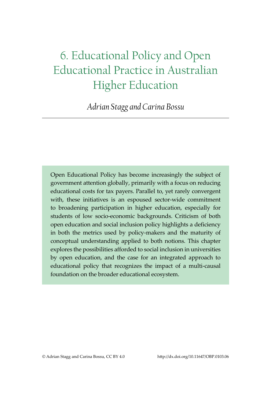# [6. Educational Policy and Open](#page--1-0)  [Educational Practice in Australian](#page--1-0)  [Higher Education](#page--1-0)

*Adrian Stagg and Carina Bossu*

Open Educational Policy has become increasingly the subject of government attention globally, primarily with a focus on reducing educational costs for tax payers. Parallel to, yet rarely convergent with, these initiatives is an espoused sector-wide commitment to broadening participation in higher education, especially for students of low socio-economic backgrounds. Criticism of both open education and social inclusion policy highlights a deficiency in both the metrics used by policy-makers and the maturity of conceptual understanding applied to both notions. This chapter explores the possibilities afforded to social inclusion in universities by open education, and the case for an integrated approach to educational policy that recognizes the impact of a multi-causal foundation on the broader educational ecosystem.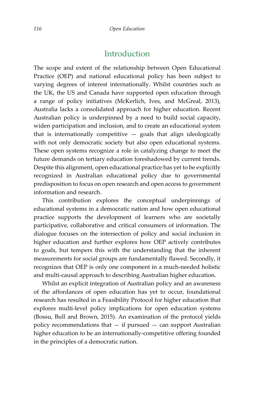### Introduction

The scope and extent of the relationship between Open Educational Practice (OEP) and national educational policy has been subject to varying degrees of interest internationally. Whilst countries such as the UK, the US and Canada have supported open education through a range of policy initiatives (McKerlich, Ives, and McGreal, 2013), Australia lacks a consolidated approach for higher education. Recent Australian policy is underpinned by a need to build social capacity, widen participation and inclusion, and to create an educational system that is internationally competitive  $-$  goals that align ideologically with not only democratic society but also open educational systems. These open systems recognize a role in catalyzing change to meet the future demands on tertiary education foreshadowed by current trends. Despite this alignment, open educational practice has yet to be explicitly recognized in Australian educational policy due to governmental predisposition to focus on open research and open access to government information and research.

This contribution explores the conceptual underpinnings of educational systems in a democratic nation and how open educational practice supports the development of learners who are societally participative, collaborative and critical consumers of information. The dialogue focuses on the intersection of policy and social inclusion in higher education and further explores how OEP actively contributes to goals, but tempers this with the understanding that the inherent measurements for social groups are fundamentally flawed. Secondly, it recognizes that OEP is only one component in a much-needed holistic and multi-causal approach to describing Australian higher education.

Whilst an explicit integration of Australian policy and an awareness of the affordances of open education has yet to occur, foundational research has resulted in a Feasibility Protocol for higher education that explores multi-level policy implications for open education systems (Bossu, Bull and Brown, 2015). An examination of the protocol yields policy recommendations that  $-$  if pursued  $-$  can support Australian higher education to be an internationally-competitive offering founded in the principles of a democratic nation.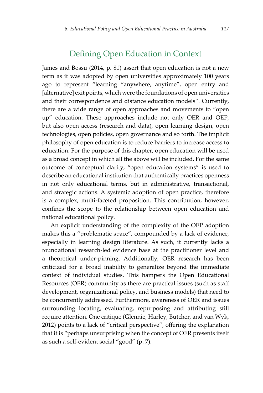## Defining Open Education in Context

James and Bossu (2014, p. 81) assert that open education is not a new term as it was adopted by open universities approximately 100 years ago to represent "learning "anywhere, anytime", open entry and [alternative] exit points, which were the foundations of open universities and their correspondence and distance education models". Currently, there are a wide range of open approaches and movements to "open up" education. These approaches include not only OER and OEP, but also open access (research and data), open learning design, open technologies, open policies, open governance and so forth. The implicit philosophy of open education is to reduce barriers to increase access to education. For the purpose of this chapter, open education will be used as a broad concept in which all the above will be included. For the same outcome of conceptual clarity, "open education systems" is used to describe an educational institution that authentically practices openness in not only educational terms, but in administrative, transactional, and strategic actions. A systemic adoption of open practice, therefore is a complex, multi-faceted proposition. This contribution, however, confines the scope to the relationship between open education and national educational policy.

An explicit understanding of the complexity of the OEP adoption makes this a "problematic space", compounded by a lack of evidence, especially in learning design literature. As such, it currently lacks a foundational research-led evidence base at the practitioner level and a theoretical under-pinning. Additionally, OER research has been criticized for a broad inability to generalize beyond the immediate context of individual studies. This hampers the Open Educational Resources (OER) community as there are practical issues (such as staff development, organizational policy, and business models) that need to be concurrently addressed. Furthermore, awareness of OER and issues surrounding locating, evaluating, repurposing and attributing still require attention. One critique (Glennie, Harley, Butcher, and van Wyk, 2012) points to a lack of "critical perspective", offering the explanation that it is "perhaps unsurprising when the concept of OER presents itself as such a self-evident social "good" (p. 7).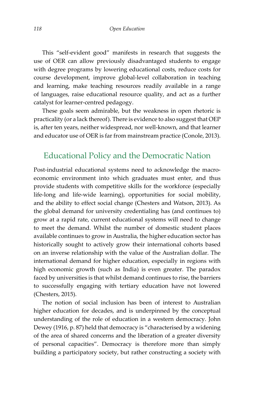This "self-evident good" manifests in research that suggests the use of OER can allow previously disadvantaged students to engage with degree programs by lowering educational costs, reduce costs for course development, improve global-level collaboration in teaching and learning, make teaching resources readily available in a range of languages, raise educational resource quality, and act as a further catalyst for learner-centred pedagogy.

These goals seem admirable, but the weakness in open rhetoric is practicality (or a lack thereof). There is evidence to also suggest that OEP is, after ten years, neither widespread, nor well-known, and that learner and educator use of OER is far from mainstream practice (Conole, 2013).

### Educational Policy and the Democratic Nation

Post-industrial educational systems need to acknowledge the macroeconomic environment into which graduates must enter, and thus provide students with competitive skills for the workforce (especially life-long and life-wide learning), opportunities for social mobility, and the ability to effect social change (Chesters and Watson, 2013). As the global demand for university credentialing has (and continues to) grow at a rapid rate, current educational systems will need to change to meet the demand. Whilst the number of domestic student places available continues to grow in Australia, the higher education sector has historically sought to actively grow their international cohorts based on an inverse relationship with the value of the Australian dollar. The international demand for higher education, especially in regions with high economic growth (such as India) is even greater. The paradox faced by universities is that whilst demand continues to rise, the barriers to successfully engaging with tertiary education have not lowered (Chesters, 2015).

The notion of social inclusion has been of interest to Australian higher education for decades, and is underpinned by the conceptual understanding of the role of education in a western democracy. John Dewey (1916, p. 87) held that democracy is "characterised by a widening of the area of shared concerns and the liberation of a greater diversity of personal capacities". Democracy is therefore more than simply building a participatory society, but rather constructing a society with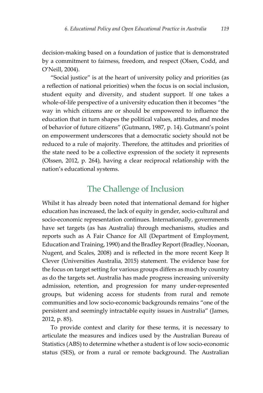decision-making based on a foundation of justice that is demonstrated by a commitment to fairness, freedom, and respect (Olsen, Codd, and O'Neill, 2004).

"Social justice" is at the heart of university policy and priorities (as a reflection of national priorities) when the focus is on social inclusion, student equity and diversity, and student support. If one takes a whole-of-life perspective of a university education then it becomes "the way in which citizens are or should be empowered to influence the education that in turn shapes the political values, attitudes, and modes of behavior of future citizens" (Gutmann, 1987, p. 14). Gutmann's point on empowerment underscores that a democratic society should not be reduced to a rule of majority. Therefore, the attitudes and priorities of the state need to be a collective expression of the society it represents (Olssen, 2012, p. 264), having a clear reciprocal relationship with the nation's educational systems.

## The Challenge of Inclusion

Whilst it has already been noted that international demand for higher education has increased, the lack of equity in gender, socio-cultural and socio-economic representation continues. Internationally, governments have set targets (as has Australia) through mechanisms, studies and reports such as A Fair Chance for All (Department of Employment, Education and Training, 1990) and the Bradley Report (Bradley, Noonan, Nugent, and Scales, 2008) and is reflected in the more recent Keep It Clever (Universities Australia, 2015) statement. The evidence base for the focus on target setting for various groups differs as much by country as do the targets set. Australia has made progress increasing university admission, retention, and progression for many under-represented groups, but widening access for students from rural and remote communities and low socio-economic backgrounds remains "one of the persistent and seemingly intractable equity issues in Australia" (James, 2012, p. 85).

To provide context and clarity for these terms, it is necessary to articulate the measures and indices used by the Australian Bureau of Statistics (ABS) to determine whether a student is of low socio-economic status (SES), or from a rural or remote background. The Australian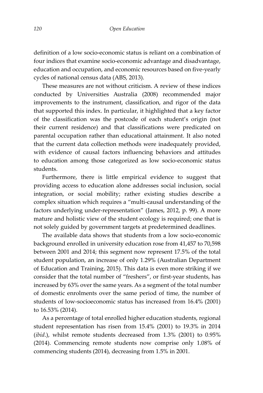definition of a low socio-economic status is reliant on a combination of four indices that examine socio-economic advantage and disadvantage, education and occupation, and economic resources based on five-yearly cycles of national census data (ABS, 2013).

These measures are not without criticism. A review of these indices conducted by Universities Australia (2008) recommended major improvements to the instrument, classification, and rigor of the data that supported this index. In particular, it highlighted that a key factor of the classification was the postcode of each student's origin (not their current residence) and that classifications were predicated on parental occupation rather than educational attainment. It also noted that the current data collection methods were inadequately provided, with evidence of causal factors influencing behaviors and attitudes to education among those categorized as low socio-economic status students.

Furthermore, there is little empirical evidence to suggest that providing access to education alone addresses social inclusion, social integration, or social mobility; rather existing studies describe a complex situation which requires a "multi-causal understanding of the factors underlying under-representation" (James, 2012, p. 99). A more mature and holistic view of the student ecology is required; one that is not solely guided by government targets at predetermined deadlines.

The available data shows that students from a low socio-economic background enrolled in university education rose from 41,457 to 70,598 between 2001 and 2014; this segment now represent 17.5% of the total student population, an increase of only 1.29% (Australian Department of Education and Training, 2015). This data is even more striking if we consider that the total number of "freshers", or first-year students, has increased by 63% over the same years. As a segment of the total number of domestic enrolments over the same period of time, the number of students of low-socioeconomic status has increased from 16.4% (2001) to 16.53% (2014).

As a percentage of total enrolled higher education students, regional student representation has risen from 15.4% (2001) to 19.3% in 2014 (*ibid*.), whilst remote students decreased from 1.3% (2001) to 0.95% (2014). Commencing remote students now comprise only 1.08% of commencing students (2014), decreasing from 1.5% in 2001.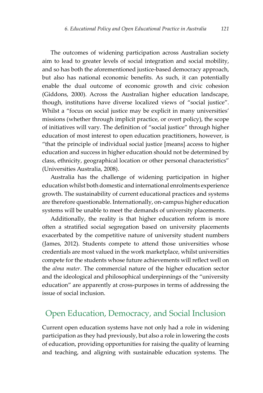The outcomes of widening participation across Australian society aim to lead to greater levels of social integration and social mobility, and so has both the aforementioned justice-based democracy approach, but also has national economic benefits. As such, it can potentially enable the dual outcome of economic growth and civic cohesion (Giddons, 2000). Across the Australian higher education landscape, though, institutions have diverse localized views of "social justice". Whilst a "focus on social justice may be explicit in many universities' missions (whether through implicit practice, or overt policy), the scope of initiatives will vary. The definition of "social justice" through higher education of most interest to open education practitioners, however, is "that the principle of individual social justice [means] access to higher education and success in higher education should not be determined by class, ethnicity, geographical location or other personal characteristics" (Universities Australia, 2008).

Australia has the challenge of widening participation in higher education whilst both domestic and international enrolments experience growth. The sustainability of current educational practices and systems are therefore questionable. Internationally, on-campus higher education systems will be unable to meet the demands of university placements.

Additionally, the reality is that higher education reform is more often a stratified social segregation based on university placements exacerbated by the competitive nature of university student numbers (James, 2012). Students compete to attend those universities whose credentials are most valued in the work marketplace, whilst universities compete for the students whose future achievements will reflect well on the *alma mater*. The commercial nature of the higher education sector and the ideological and philosophical underpinnings of the "university education" are apparently at cross-purposes in terms of addressing the issue of social inclusion.

## Open Education, Democracy, and Social Inclusion

Current open education systems have not only had a role in widening participation as they had previously, but also a role in lowering the costs of education, providing opportunities for raising the quality of learning and teaching, and aligning with sustainable education systems. The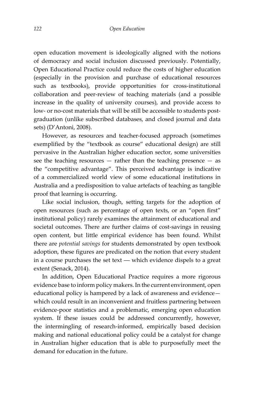open education movement is ideologically aligned with the notions of democracy and social inclusion discussed previously. Potentially, Open Educational Practice could reduce the costs of higher education (especially in the provision and purchase of educational resources such as textbooks), provide opportunities for cross-institutional collaboration and peer-review of teaching materials (and a possible increase in the quality of university courses), and provide access to low- or no-cost materials that will be still be accessible to students postgraduation (unlike subscribed databases, and closed journal and data sets) (D'Antoni, 2008).

However, as resources and teacher-focused approach (sometimes exemplified by the "textbook as course" educational design) are still pervasive in the Australian higher education sector, some universities see the teaching resources  $-$  rather than the teaching presence  $-$  as the "competitive advantage". This perceived advantage is indicative of a commercialized world view of some educational institutions in Australia and a predisposition to value artefacts of teaching as tangible proof that learning is occurring.

Like social inclusion, though, setting targets for the adoption of open resources (such as percentage of open texts, or an "open first" institutional policy) rarely examines the attainment of educational and societal outcomes. There are further claims of cost-savings in reusing open content, but little empirical evidence has been found. Whilst there are *potential savings* for students demonstrated by open textbook adoption, these figures are predicated on the notion that every student in a course purchases the set text ― which evidence dispels to a great extent (Senack, 2014).

In addition, Open Educational Practice requires a more rigorous evidence base to inform policy makers. In the current environment, open educational policy is hampered by a lack of awareness and evidence which could result in an inconvenient and fruitless partnering between evidence-poor statistics and a problematic, emerging open education system. If these issues could be addressed concurrently, however, the intermingling of research-informed, empirically based decision making and national educational policy could be a catalyst for change in Australian higher education that is able to purposefully meet the demand for education in the future.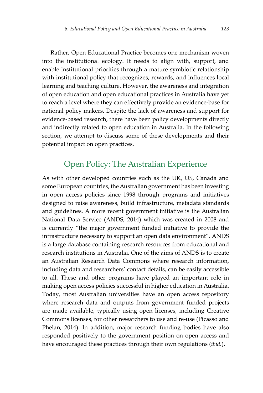Rather, Open Educational Practice becomes one mechanism woven into the institutional ecology. It needs to align with, support, and enable institutional priorities through a mature symbiotic relationship with institutional policy that recognizes, rewards, and influences local learning and teaching culture. However, the awareness and integration of open education and open educational practices in Australia have yet to reach a level where they can effectively provide an evidence-base for national policy makers. Despite the lack of awareness and support for evidence-based research, there have been policy developments directly and indirectly related to open education in Australia. In the following section, we attempt to discuss some of these developments and their potential impact on open practices.

## Open Policy: The Australian Experience

As with other developed countries such as the UK, US, Canada and some European countries, the Australian government has been investing in open access policies since 1998 through programs and initiatives designed to raise awareness, build infrastructure, metadata standards and guidelines. A more recent government initiative is the Australian National Data Service (ANDS, 2014) which was created in 2008 and is currently "the major government funded initiative to provide the infrastructure necessary to support an open data environment". ANDS is a large database containing research resources from educational and research institutions in Australia. One of the aims of ANDS is to create an Australian Research Data Commons where research information, including data and researchers' contact details, can be easily accessible to all. These and other programs have played an important role in making open access policies successful in higher education in Australia. Today, most Australian universities have an open access repository where research data and outputs from government funded projects are made available, typically using open licenses, including Creative Commons licenses, for other researchers to use and re-use (Picasso and Phelan, 2014). In addition, major research funding bodies have also responded positively to the government position on open access and have encouraged these practices through their own regulations (*ibid.*).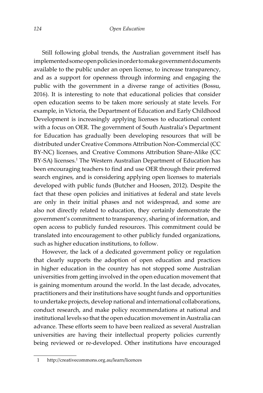Still following global trends, the Australian government itself has implemented some open policies in order to make government documents available to the public under an open license, to increase transparency, and as a support for openness through informing and engaging the public with the government in a diverse range of activities (Bossu, 2016). It is interesting to note that educational policies that consider open education seems to be taken more seriously at state levels. For example, in Victoria, the Department of Education and Early Childhood Development is increasingly applying licenses to educational content with a focus on OER. The government of South Australia's Department for Education has gradually been developing resources that will be distributed under Creative Commons Attribution Non-Commercial (CC BY-NC) licenses, and Creative Commons Attribution Share-Alike (CC BY-SA) licenses.<sup>1</sup> The Western Australian Department of Education has been encouraging teachers to find and use OER through their preferred search engines, and is considering applying open licenses to materials developed with public funds (Butcher and Hoosen, 2012). Despite the fact that these open policies and initiatives at federal and state levels are only in their initial phases and not widespread, and some are also not directly related to education, they certainly demonstrate the government's commitment to transparency, sharing of information, and open access to publicly funded resources. This commitment could be translated into encouragement to other publicly funded organizations, such as higher education institutions, to follow.

However, the lack of a dedicated government policy or regulation that clearly supports the adoption of open education and practices in higher education in the country has not stopped some Australian universities from getting involved in the open education movement that is gaining momentum around the world. In the last decade, advocates, practitioners and their institutions have sought funds and opportunities to undertake projects, develop national and international collaborations, conduct research, and make policy recommendations at national and institutional levels so that the open education movement in Australia can advance. These efforts seem to have been realized as several Australian universities are having their intellectual property policies currently being reviewed or re-developed. Other institutions have encouraged

<sup>1</sup> <http://creativecommons.org.au/learn/licences>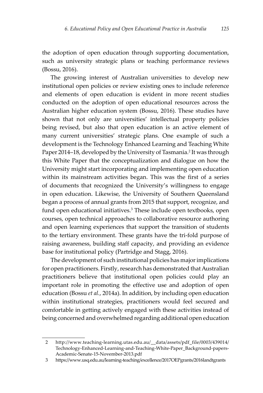the adoption of open education through supporting documentation, such as university strategic plans or teaching performance reviews (Bossu, 2016).

The growing interest of Australian universities to develop new institutional open policies or review existing ones to include reference and elements of open education is evident in more recent studies conducted on the adoption of open educational resources across the Australian higher education system (Bossu, 2016). These studies have shown that not only are universities' intellectual property policies being revised, but also that open education is an active element of many current universities' strategic plans. One example of such a development is the Technology Enhanced Learning and Teaching White Paper 2014–18, developed by the University of Tasmania.<sup>2</sup> It was through this White Paper that the conceptualization and dialogue on how the University might start incorporating and implementing open education within its mainstream activities began. This was the first of a series of documents that recognized the University's willingness to engage in open education. Likewise, the University of Southern Queensland began a process of annual grants from 2015 that support, recognize, and fund open educational initiatives.<sup>3</sup> These include open textbooks, open courses, open technical approaches to collaborative resource authoring and open learning experiences that support the transition of students to the tertiary environment. These grants have the tri-fold purpose of raising awareness, building staff capacity, and providing an evidence base for institutional policy (Partridge and Stagg, 2016).

The development of such institutional policies has major implications for open practitioners. Firstly, research has demonstrated that Australian practitioners believe that institutional open policies could play an important role in promoting the effective use and adoption of open education (Bossu *et al.*, 2014a). In addition, by including open education within institutional strategies, practitioners would feel secured and comfortable in getting actively engaged with these activities instead of being concerned and overwhelmed regarding additional open education

<sup>2</sup> [http://www.teaching-learning.utas.edu.au/\\_\\_data/assets/pdf\\_file/0003/439014/](http://www.﻿teaching-learning.utas.edu.au/__data/assets/pdf_file/0003/439014/Technology-Enhanced-Learning-and-Teaching-White-Paper_Background-papers-Academic-Senate-15-November-2013.pdf) [Technology-Enhanced-Learning-and-Teaching-White-Paper\\_Background-papers-](http://www.﻿teaching-learning.utas.edu.au/__data/assets/pdf_file/0003/439014/Technology-Enhanced-Learning-and-Teaching-White-Paper_Background-papers-Academic-Senate-15-November-2013.pdf)[Academic-Senate-15-November-2013.pdf](http://www.﻿teaching-learning.utas.edu.au/__data/assets/pdf_file/0003/439014/Technology-Enhanced-Learning-and-Teaching-White-Paper_Background-papers-Academic-Senate-15-November-2013.pdf)

<sup>3</sup> <https://www.usq.edu.au/learning-teaching/excellence/2017OEPgrants/2016landtgrants>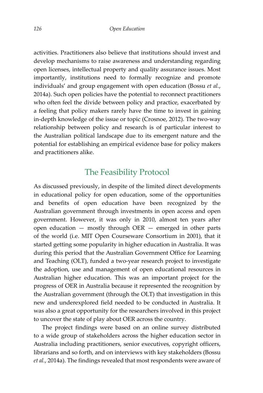activities. Practitioners also believe that institutions should invest and develop mechanisms to raise awareness and understanding regarding open licenses, intellectual property and quality assurance issues. Most importantly, institutions need to formally recognize and promote individuals' and group engagement with open education (Bossu *et al.*, 2014a). Such open policies have the potential to reconnect practitioners who often feel the divide between policy and practice, exacerbated by a feeling that policy makers rarely have the time to invest in gaining in-depth knowledge of the issue or topic (Crosnoe, 2012). The two-way relationship between policy and research is of particular interest to the Australian political landscape due to its emergent nature and the potential for establishing an empirical evidence base for policy makers and practitioners alike.

## The Feasibility Protocol

As discussed previously, in despite of the limited direct developments in educational policy for open education, some of the opportunities and benefits of open education have been recognized by the Australian government through investments in open access and open government. However, it was only in 2010, almost ten years after open education  $-$  mostly through OER  $-$  emerged in other parts of the world (i.e. MIT Open Courseware Consortium in 2001), that it started getting some popularity in higher education in Australia. It was during this period that the Australian Government Office for Learning and Teaching (OLT), funded a two-year research project to investigate the adoption, use and management of open educational resources in Australian higher education. This was an important project for the progress of OER in Australia because it represented the recognition by the Australian government (through the OLT) that investigation in this new and underexplored field needed to be conducted in Australia. It was also a great opportunity for the researchers involved in this project to uncover the state of play about OER across the country.

The project findings were based on an online survey distributed to a wide group of stakeholders across the higher education sector in Australia including practitioners, senior executives, copyright officers, librarians and so forth, and on interviews with key stakeholders (Bossu *et al.*, 2014a). The findings revealed that most respondents were aware of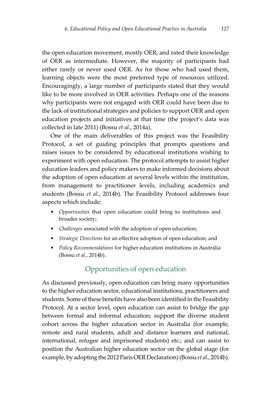the open education movement, mostly OER, and rated their knowledge of OER as intermediate. However, the majority of participants had either rarely or never used OER. As for those who had used them, learning objects were the most preferred type of resources utilized. Encouragingly, a large number of participants stated that they would like to be more involved in OER activities. Perhaps one of the reasons why participants were not engaged with OER could have been due to the lack of institutional strategies and policies to support OER and open education projects and initiatives at that time (the project's data was collected in late 2011) (Bossu *et al.*, 2014a).

One of the main deliverables of this project was the Feasibility Protocol, a set of guiding principles that prompts questions and raises issues to be considered by educational institutions wishing to experiment with open education. The protocol attempts to assist higher education leaders and policy makers to make informed decisions about the adoption of open education at several levels within the institution, from management to practitioner levels, including academics and students (Bossu *et al.*, 2014b). The Feasibility Protocol addresses four aspects which include:

- *Opportunities* that open education could bring to institutions and broader society;
- *Challenges* associated with the adoption of open education;
- *Strategic Directions* for an effective adoption of open education; and
- *Policy Recommendations* for higher education institutions in Australia (Bossu *et al.*, 2014b).

#### Opportunities of open education

As discussed previously, open education can bring many opportunities to the higher education sector, educational institutions, practitioners and students. Some of these benefits have also been identified in the Feasibility Protocol. At a sector level, open education can assist to bridge the gap between formal and informal education; support the diverse student cohort across the higher education sector in Australia (for example, remote and rural students, adult and distance learners and national, international, refugee and imprisoned students) etc.; and can assist to position the Australian higher education sector on the global stage (for example, by adopting the 2012 Paris OER Declaration) (Bossu *et al.*, 2014b).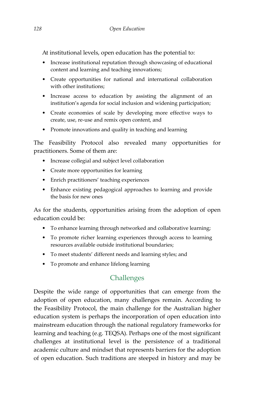At institutional levels, open education has the potential to:

- Increase institutional reputation through showcasing of educational content and learning and teaching innovations;
- Create opportunities for national and international collaboration with other institutions;
- Increase access to education by assisting the alignment of an institution's agenda for social inclusion and widening participation;
- Create economies of scale by developing more effective ways to create, use, re-use and remix open content, and
- Promote innovations and quality in teaching and learning

The Feasibility Protocol also revealed many opportunities for practitioners. Some of them are:

- Increase collegial and subject level collaboration
- Create more opportunities for learning
- Enrich practitioners' teaching experiences
- Enhance existing pedagogical approaches to learning and provide the basis for new ones

As for the students, opportunities arising from the adoption of open education could be:

- To enhance learning through networked and collaborative learning;
- To promote richer learning experiences through access to learning resources available outside institutional boundaries;
- To meet students' different needs and learning styles; and
- To promote and enhance lifelong learning

## Challenges

Despite the wide range of opportunities that can emerge from the adoption of open education, many challenges remain. According to the Feasibility Protocol, the main challenge for the Australian higher education system is perhaps the incorporation of open education into mainstream education through the national regulatory frameworks for learning and teaching (e.g. TEQSA). Perhaps one of the most significant challenges at institutional level is the persistence of a traditional academic culture and mindset that represents barriers for the adoption of open education. Such traditions are steeped in history and may be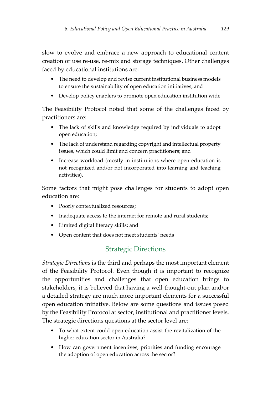slow to evolve and embrace a new approach to educational content creation or use re-use, re-mix and storage techniques. Other challenges faced by educational institutions are:

- The need to develop and revise current institutional business models to ensure the sustainability of open education initiatives; and
- Develop policy enablers to promote open education institution wide

The Feasibility Protocol noted that some of the challenges faced by practitioners are:

- The lack of skills and knowledge required by individuals to adopt open education;
- The lack of understand regarding copyright and intellectual property issues, which could limit and concern practitioners; and
- Increase workload (mostly in institutions where open education is not recognized and/or not incorporated into learning and teaching activities).

Some factors that might pose challenges for students to adopt open education are:

- Poorly contextualized resources;
- Inadequate access to the internet for remote and rural students;
- Limited digital literacy skills; and
- Open content that does not meet students' needs

## Strategic Directions

*Strategic Directions* is the third and perhaps the most important element of the Feasibility Protocol. Even though it is important to recognize the opportunities and challenges that open education brings to stakeholders, it is believed that having a well thought-out plan and/or a detailed strategy are much more important elements for a successful open education initiative. Below are some questions and issues posed by the Feasibility Protocol at sector, institutional and practitioner levels. The strategic directions questions at the sector level are:

- To what extent could open education assist the revitalization of the higher education sector in Australia?
- How can government incentives, priorities and funding encourage the adoption of open education across the sector?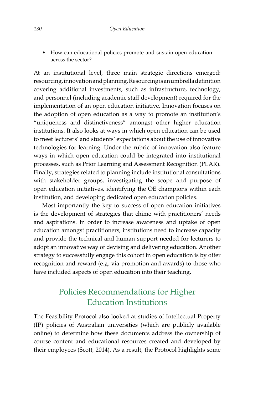• How can educational policies promote and sustain open education across the sector?

At an institutional level, three main strategic directions emerged: resourcing, innovation and planning. Resourcing is an umbrella definition covering additional investments, such as infrastructure, technology, and personnel (including academic staff development) required for the implementation of an open education initiative. Innovation focuses on the adoption of open education as a way to promote an institution's "uniqueness and distinctiveness" amongst other higher education institutions. It also looks at ways in which open education can be used to meet lecturers' and students' expectations about the use of innovative technologies for learning. Under the rubric of innovation also feature ways in which open education could be integrated into institutional processes, such as Prior Learning and Assessment Recognition (PLAR). Finally, strategies related to planning include institutional consultations with stakeholder groups, investigating the scope and purpose of open education initiatives, identifying the OE champions within each institution, and developing dedicated open education policies.

Most importantly the key to success of open education initiatives is the development of strategies that chime with practitioners' needs and aspirations. In order to increase awareness and uptake of open education amongst practitioners, institutions need to increase capacity and provide the technical and human support needed for lecturers to adopt an innovative way of devising and delivering education. Another strategy to successfully engage this cohort in open education is by offer recognition and reward (e.g. via promotion and awards) to those who have included aspects of open education into their teaching.

## Policies Recommendations for Higher Education Institutions

The Feasibility Protocol also looked at studies of Intellectual Property (IP) policies of Australian universities (which are publicly available online) to determine how these documents address the ownership of course content and educational resources created and developed by their employees (Scott, 2014). As a result, the Protocol highlights some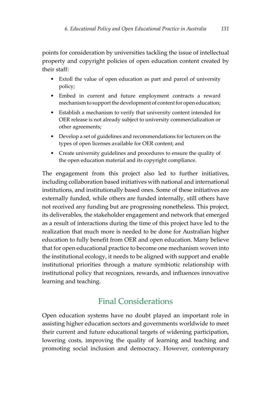points for consideration by universities tackling the issue of intellectual property and copyright policies of open education content created by their staff:

- Extoll the value of open education as part and parcel of university policy;
- Embed in current and future employment contracts a reward mechanism to support the development of content for open education;
- Establish a mechanism to verify that university content intended for OER release is not already subject to university commercialization or other agreements;
- Develop a set of guidelines and recommendations for lecturers on the types of open licenses available for OER content; and
- Create university guidelines and procedures to ensure the quality of the open education material and its copyright compliance.

The engagement from this project also led to further initiatives, including collaboration based initiatives with national and international institutions, and institutionally based ones. Some of these initiatives are externally funded, while others are funded internally, still others have not received any funding but are progressing nonetheless. This project, its deliverables, the stakeholder engagement and network that emerged as a result of interactions during the time of this project have led to the realization that much more is needed to be done for Australian higher education to fully benefit from OER and open education. Many believe that for open educational practice to become one mechanism woven into the institutional ecology, it needs to be aligned with support and enable institutional priorities through a mature symbiotic relationship with institutional policy that recognizes, rewards, and influences innovative learning and teaching.

## Final Considerations

Open education systems have no doubt played an important role in assisting higher education sectors and governments worldwide to meet their current and future educational targets of widening participation, lowering costs, improving the quality of learning and teaching and promoting social inclusion and democracy. However, contemporary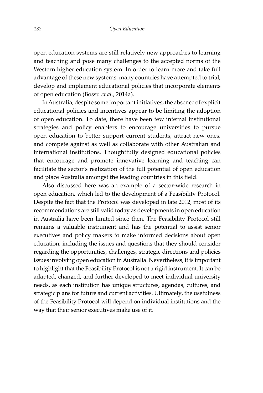open education systems are still relatively new approaches to learning and teaching and pose many challenges to the accepted norms of the Western higher education system. In order to learn more and take full advantage of these new systems, many countries have attempted to trial, develop and implement educational policies that incorporate elements of open education (Bossu *et al.*, 2014a).

In Australia, despite some important initiatives, the absence of explicit educational policies and incentives appear to be limiting the adoption of open education. To date, there have been few internal institutional strategies and policy enablers to encourage universities to pursue open education to better support current students, attract new ones, and compete against as well as collaborate with other Australian and international institutions. Thoughtfully designed educational policies that encourage and promote innovative learning and teaching can facilitate the sector's realization of the full potential of open education and place Australia amongst the leading countries in this field.

Also discussed here was an example of a sector-wide research in open education, which led to the development of a Feasibility Protocol. Despite the fact that the Protocol was developed in late 2012, most of its recommendations are still valid today as developments in open education in Australia have been limited since then. The Feasibility Protocol still remains a valuable instrument and has the potential to assist senior executives and policy makers to make informed decisions about open education, including the issues and questions that they should consider regarding the opportunities, challenges, strategic directions and policies issues involving open education in Australia. Nevertheless, it is important to highlight that the Feasibility Protocol is not a rigid instrument. It can be adapted, changed, and further developed to meet individual university needs, as each institution has unique structures, agendas, cultures, and strategic plans for future and current activities. Ultimately, the usefulness of the Feasibility Protocol will depend on individual institutions and the way that their senior executives make use of it.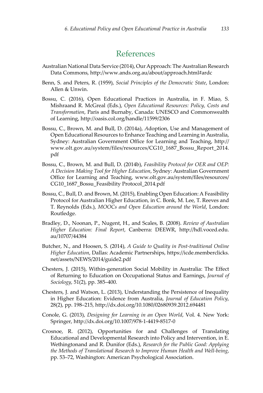#### References

- Australian National Data Service (2014), Our Approach: The Australian Research Data Commons, http://www.ands.org.au/about/approach.html#ardc
- Benn, S. and Peters, R. (1959), *Social Principles of the Democratic State*, London: Allen & Unwin.
- Bossu, C. (2016), Open Educational Practices in Australia, in F. Miao, S. Mishraand R. McGreal (Eds.), *Open Educational Resources: Policy, Costs and Transformation*, Paris and Burnaby, Canada: UNESCO and Commonwealth of Learning, <http://oasis.col.org/handle/11599/2306>
- Bossu, C., Brown, M. and Bull, D. (2014a), *A*doption, Use and Management of Open Educational Resources to Enhance Teaching and Learning in Australia, Sydney: Australian Government Office for Learning and Teaching, [http://](http://www.olt.gov.au/system/files/resources/CG10_1687_Bossu_Report_2014.pdf) [www.olt.gov.au/system/files/resources/CG10\\_1687\\_Bossu\\_Report\\_2014.](http://www.olt.gov.au/system/files/resources/CG10_1687_Bossu_Report_2014.pdf) [pdf](http://www.olt.gov.au/system/files/resources/CG10_1687_Bossu_Report_2014.pdf)
- Bossu, C., Brown, M. and Bull, D. (2014b), *Feasibility Protocol for OER and OEP: A Decision Making Tool for Higher Education*, Sydney: Australian Government Office for Learning and Teaching, [www.olt.gov.au/system/files/resources/](http://www.olt.gov.au/system/files/resources/CG10_1687_Bossu_Feasibility%2520Protocol_2014.pdf) [CG10\\_1687\\_Bossu\\_Feasibility Protocol\\_2014.pdf](http://www.olt.gov.au/system/files/resources/CG10_1687_Bossu_Feasibility%2520Protocol_2014.pdf)
- Bossu, C., Bull, D. and Brown, M. (2015), Enabling Open Education: A Feasibility Protocol for Australian Higher Education, in C. Bonk, M. Lee, T. Reeves and T. Reynolds (Eds.), *MOOCs and Open Education around the World*, London: Routledge.
- Bradley, D., Noonan, P., Nugent, H., and Scales, B. (2008). *Review of Australian Higher Education: Final Report*, Canberra: DEEWR, [http://hdl.voced.edu.](http://hdl.voced.edu.au/10707/44384) [au/10707/44384](http://hdl.voced.edu.au/10707/44384)
- Butcher, N., and Hoosen, S. (2014), *A Guide to Quality in Post-traditional Online Higher Education*, Dallas: Academic Partnerships, [https://icde.memberclicks.](https://icde.memberclicks.net/assets/NEWS/2014/guide2.pdf) [net/assets/NEWS/2014/guide2.pdf](https://icde.memberclicks.net/assets/NEWS/2014/guide2.pdf)
- Chesters, J. (2015), Within-generation Social Mobility in Australia: The Effect of Returning to Education on Occupational Status and Earnings, *Journal of Sociology*, 51(2), pp. 385–400.
- Chesters, J. and Watson, L. (2013), Understanding the Persistence of Inequality in Higher Education: Evidence from Australia, *Journal of Education Policy*, 28(2), pp. 198–215,<http://dx.doi.org/10.1080/02680939.2012.694481>
- Conole, G. (2013), *Designing for Learning in an Open World*, Vol. 4. New York: Springer, <http://dx.doi.org/10.1007/978-1-4419-8517-0>
- Crosnoe, R. (2012), Opportunities for and Challenges of Translating Educational and Developmental Research into Policy and Intervention, in E. Wethingtonand and R. Dunifor (Eds.), *Research for the Public Good: Applying the Methods of Translational Research to Improve Human Health and Well-being*, pp. 53–72, Washington: American Psychological Association.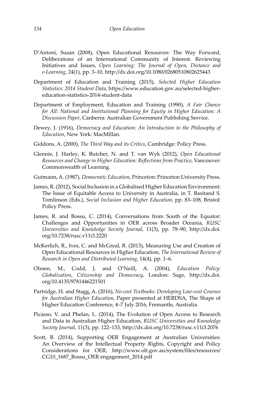- D'Antoni, Susan (2008), Open Educational Resources: The Way Forward, Deliberations of an International Community of Interest. Reviewing Initiatives and Issues, *Open Learning: The Journal of Open, Distance and e-Learning*, 24(1), pp. 3–10, <http://dx.doi.org/10.1080/02680510802625443>
- Department of Education and Training (2015), *Selected Higher Education Statistics: 2014 Student Data*, [https://www.education.gov.au/selected-higher](https://www.education.gov.au/selected-higher-education-statistics-2014-student-data)[education-statistics-2014-student-data](https://www.education.gov.au/selected-higher-education-statistics-2014-student-data)
- Department of Employment, Education and Training (1990), *A Fair Chance for All: National and Institutional Planning for Equity in Higher Education: A Discussion Paper*, Canberra: Australian Government Publishing Service.
- Dewey, J. (1916), *Democracy and Education: An Introduction to the Philosophy of Education*, New York: MacMillan.
- Giddons, A. (2000), *The Third Way and its Critics*, Cambridge: Policy Press.
- Glennie, J. Harley, K. Butcher, N. and T. van Wyk (2012), *Open Educational Resources and Change in Higher Education: Reflections from Practice*, Vancouver: Commonwealth of Learning.
- Gutmann, A. (1987), *Democratic Education*, Princeton: Princeton University Press.
- James, R. (2012), Social Inclusion in a Globalised Higher Education Environment: The Issue of Equitable Access to University in Australia, in T. Basitand S. Tomlinson (Eds.), *Social Inclusion and Higher Education*, pp. 83–108, Bristol: Policy Press.
- James, R. and Bossu, C. (2014), Conversations from South of the Equator: Challenges and Opportunities in OER across Broader Oceania, *RUSC Universities and Knowledge Society Journal*, 11(3), pp. 78–90, [http://dx.doi.](http://dx.doi.org/10.7238/rusc.v11i3.2220) [org/10.7238/rusc.v11i3.2220](http://dx.doi.org/10.7238/rusc.v11i3.2220)
- McKerlich, R., Ives, C. and McGreal, R. (2013), Measuring Use and Creation of Open Educational Resources in Higher Education, *The International Review of Research in Open and Distributed Learning*, 14(4), pp. 1–6.
- Olssen, M., Codd, J. and O'Neill, A. (2004), *Education Policy: Globalization, Citizenship and Democracy*, London: Sage, [http://dx.doi.](http://dx.doi.org/10.4135/9781446221501) [org/10.4135/9781446221501](http://dx.doi.org/10.4135/9781446221501)
- Partridge, H. and Stagg, A. (2016), *No-cost Textbooks: Developing Low-cost Courses for Australian Higher Education*, Paper presented at HERDSA, The Shape of Higher Education Conference, 4–7 July 2016, Fremantle, Australia.
- Picasso, V. and Phelan, L. (2014), The Evolution of Open Access to Research and Data in Australian Higher Education, *RUSC Universities and Knowledge Society Journal*, 11(3), pp. 122–133,<http://dx.doi.org/10.7238/rusc.v11i3.2076>
- Scott, B. (2014), Supporting OER Engagement at Australian Universities: An Overview of the Intellectual Property Rights, Copyright and Policy Considerations for OER, [http://www.olt.gov.au/system/files/resources/](http://www.olt.gov.au/system/files/resources/CG10_1687_Bossu_OER engagement_2014.pdf) [CG10\\_1687\\_Bossu\\_OER engagement\\_2014.pdf](http://www.olt.gov.au/system/files/resources/CG10_1687_Bossu_OER engagement_2014.pdf)